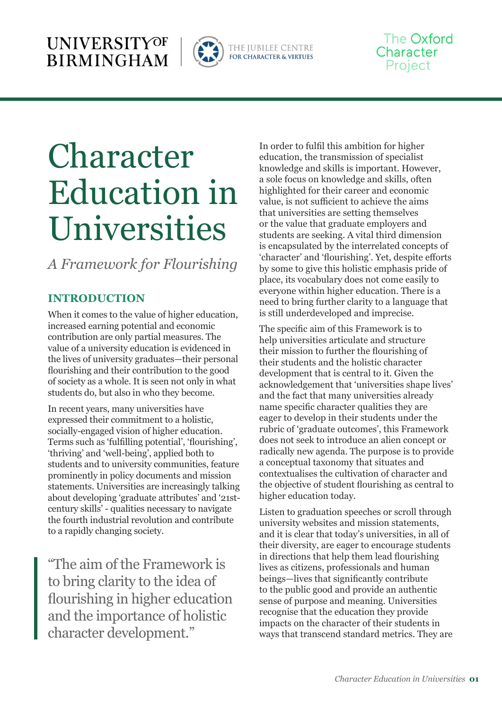

THE JUBILEE CENTRE<br>for character & virtues

# The Oxford Character Project

# Character Education in Universities

*A Framework for Flourishing*

## **INTRODUCTION**

When it comes to the value of higher education, increased earning potential and economic contribution are only partial measures. The value of a university education is evidenced in the lives of university graduates—their personal flourishing and their contribution to the good of society as a whole. It is seen not only in what students do, but also in who they become.

In recent years, many universities have expressed their commitment to a holistic, socially-engaged vision of higher education. Terms such as 'fulfilling potential', 'flourishing', 'thriving' and 'well-being', applied both to students and to university communities, feature prominently in policy documents and mission statements. Universities are increasingly talking about developing 'graduate attributes' and '21stcentury skills' - qualities necessary to navigate the fourth industrial revolution and contribute to a rapidly changing society.

"The aim of the Framework is to bring clarity to the idea of flourishing in higher education and the importance of holistic character development."

In order to fulfil this ambition for higher education, the transmission of specialist knowledge and skills is important. However, a sole focus on knowledge and skills, often highlighted for their career and economic value, is not sufficient to achieve the aims that universities are setting themselves or the value that graduate employers and students are seeking. A vital third dimension is encapsulated by the interrelated concepts of 'character' and 'flourishing'. Yet, despite efforts by some to give this holistic emphasis pride of place, its vocabulary does not come easily to everyone within higher education. There is a need to bring further clarity to a language that is still underdeveloped and imprecise.

The specific aim of this Framework is to help universities articulate and structure their mission to further the flourishing of their students and the holistic character development that is central to it. Given the acknowledgement that 'universities shape lives' and the fact that many universities already name specific character qualities they are eager to develop in their students under the rubric of 'graduate outcomes', this Framework does not seek to introduce an alien concept or radically new agenda. The purpose is to provide a conceptual taxonomy that situates and contextualises the cultivation of character and the objective of student flourishing as central to higher education today.

Listen to graduation speeches or scroll through university websites and mission statements, and it is clear that today's universities, in all of their diversity, are eager to encourage students in directions that help them lead flourishing lives as citizens, professionals and human beings—lives that significantly contribute to the public good and provide an authentic sense of purpose and meaning. Universities recognise that the education they provide impacts on the character of their students in ways that transcend standard metrics. They are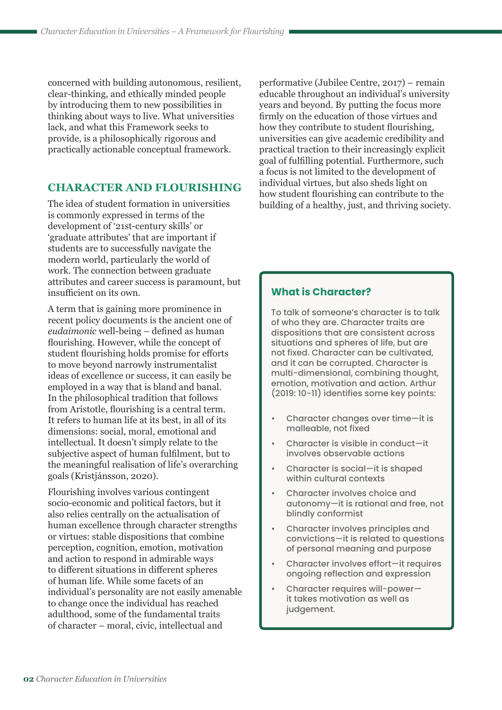concerned with building autonomous, resilient, clear-thinking, and ethically minded people by introducing them to new possibilities in thinking about ways to live. What universities lack, and what this Framework seeks to provide, is a philosophically rigorous and practically actionable conceptual framework.

## **CHARACTER AND FLOURISHING**

The idea of student formation in universities is commonly expressed in terms of the development of '21st-century skills' or 'graduate attributes' that are important if students are to successfully navigate the modern world, particularly the world of work. The connection between graduate attributes and career success is paramount, but insufficient on its own.

A term that is gaining more prominence in recent policy documents is the ancient one of *eudaimonic* well-being – defined as human flourishing. However, while the concept of student flourishing holds promise for efforts to move beyond narrowly instrumentalist ideas of excellence or success, it can easily be employed in a way that is bland and banal. In the philosophical tradition that follows from Aristotle, flourishing is a central term. It refers to human life at its best, in all of its dimensions: social, moral, emotional and intellectual. It doesn't simply relate to the subjective aspect of human fulfilment, but to the meaningful realisation of life's overarching goals (Kristjánsson, 2020).

Flourishing involves various contingent socio-economic and political factors, but it also relies centrally on the actualisation of human excellence through character strengths or virtues: stable dispositions that combine perception, cognition, emotion, motivation and action to respond in admirable ways to different situations in different spheres of human life. While some facets of an individual's personality are not easily amenable to change once the individual has reached adulthood, some of the fundamental traits of character – moral, civic, intellectual and

performative (Jubilee Centre, 2017) – remain educable throughout an individual's university years and beyond. By putting the focus more firmly on the education of those virtues and how they contribute to student flourishing, universities can give academic credibility and practical traction to their increasingly explicit goal of fulfilling potential. Furthermore, such a focus is not limited to the development of individual virtues, but also sheds light on how student flourishing can contribute to the building of a healthy, just, and thriving society.

#### **What is Character?**

To talk of someone's character is to talk of who they are. Character traits are dispositions that are consistent across situations and spheres of life, but are not fixed. Character can be cultivated, and it can be corrupted. Character is multi-dimensional, combining thought, emotion, motivation and action. Arthur (2019: 10-11) identifies some key points:

- Character changes over time—it is malleable, not fixed
- Character is visible in conduct—it involves observable actions
- Character is social—it is shaped within cultural contexts
- Character involves choice and autonomy—it is rational and free, not blindly conformist
- Character involves principles and convictions—it is related to questions of personal meaning and purpose
- Character involves effort—it requires ongoing reflection and expression
- Character requires will-power it takes motivation as well as judgement.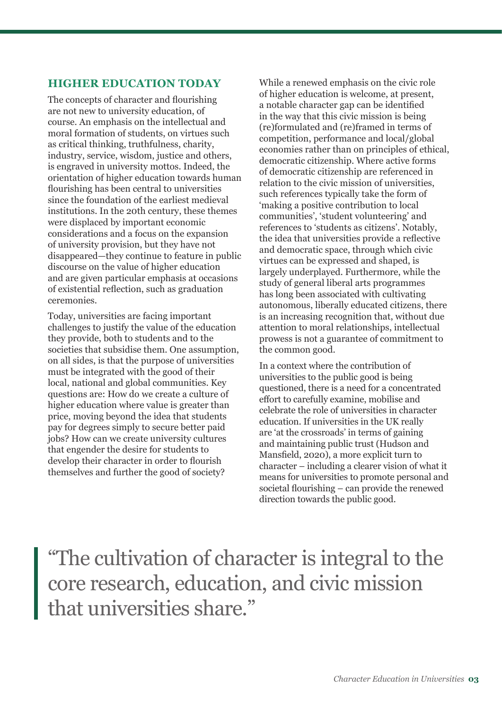## **HIGHER EDUCATION TODAY**

The concepts of character and flourishing are not new to university education, of course. An emphasis on the intellectual and moral formation of students, on virtues such as critical thinking, truthfulness, charity, industry, service, wisdom, justice and others, is engraved in university mottos. Indeed, the orientation of higher education towards human flourishing has been central to universities since the foundation of the earliest medieval institutions. In the 20th century, these themes were displaced by important economic considerations and a focus on the expansion of university provision, but they have not disappeared—they continue to feature in public discourse on the value of higher education and are given particular emphasis at occasions of existential reflection, such as graduation ceremonies.

Today, universities are facing important challenges to justify the value of the education they provide, both to students and to the societies that subsidise them. One assumption, on all sides, is that the purpose of universities must be integrated with the good of their local, national and global communities. Key questions are: How do we create a culture of higher education where value is greater than price, moving beyond the idea that students pay for degrees simply to secure better paid jobs? How can we create university cultures that engender the desire for students to develop their character in order to flourish themselves and further the good of society?

While a renewed emphasis on the civic role of higher education is welcome, at present, a notable character gap can be identified in the way that this civic mission is being (re)formulated and (re)framed in terms of competition, performance and local/global economies rather than on principles of ethical, democratic citizenship. Where active forms of democratic citizenship are referenced in relation to the civic mission of universities, such references typically take the form of 'making a positive contribution to local communities', 'student volunteering' and references to 'students as citizens'. Notably, the idea that universities provide a reflective and democratic space, through which civic virtues can be expressed and shaped, is largely underplayed. Furthermore, while the study of general liberal arts programmes has long been associated with cultivating autonomous, liberally educated citizens, there is an increasing recognition that, without due attention to moral relationships, intellectual prowess is not a guarantee of commitment to the common good.

In a context where the contribution of universities to the public good is being questioned, there is a need for a concentrated effort to carefully examine, mobilise and celebrate the role of universities in character education. If universities in the UK really are 'at the crossroads' in terms of gaining and maintaining public trust (Hudson and Mansfield, 2020), a more explicit turn to character – including a clearer vision of what it means for universities to promote personal and societal flourishing – can provide the renewed direction towards the public good.

"The cultivation of character is integral to the core research, education, and civic mission that universities share."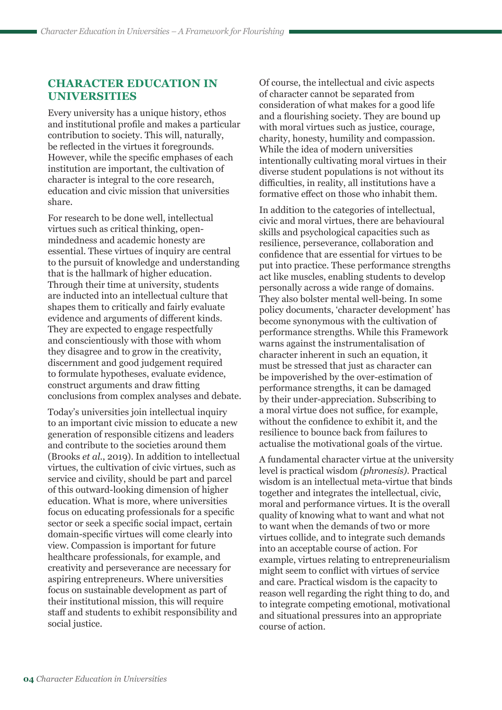## **CHARACTER EDUCATION IN UNIVERSITIES**

Every university has a unique history, ethos and institutional profile and makes a particular contribution to society. This will, naturally, be reflected in the virtues it foregrounds. However, while the specific emphases of each institution are important, the cultivation of character is integral to the core research, education and civic mission that universities share.

For research to be done well, intellectual virtues such as critical thinking, openmindedness and academic honesty are essential. These virtues of inquiry are central to the pursuit of knowledge and understanding that is the hallmark of higher education. Through their time at university, students are inducted into an intellectual culture that shapes them to critically and fairly evaluate evidence and arguments of different kinds. They are expected to engage respectfully and conscientiously with those with whom they disagree and to grow in the creativity, discernment and good judgement required to formulate hypotheses, evaluate evidence, construct arguments and draw fitting conclusions from complex analyses and debate.

Today's universities join intellectual inquiry to an important civic mission to educate a new generation of responsible citizens and leaders and contribute to the societies around them (Brooks *et al.*, 2019). In addition to intellectual virtues, the cultivation of civic virtues, such as service and civility, should be part and parcel of this outward-looking dimension of higher education. What is more, where universities focus on educating professionals for a specific sector or seek a specific social impact, certain domain-specific virtues will come clearly into view. Compassion is important for future healthcare professionals, for example, and creativity and perseverance are necessary for aspiring entrepreneurs. Where universities focus on sustainable development as part of their institutional mission, this will require staff and students to exhibit responsibility and social justice.

Of course, the intellectual and civic aspects of character cannot be separated from consideration of what makes for a good life and a flourishing society. They are bound up with moral virtues such as justice, courage, charity, honesty, humility and compassion. While the idea of modern universities intentionally cultivating moral virtues in their diverse student populations is not without its difficulties, in reality, all institutions have a formative effect on those who inhabit them.

In addition to the categories of intellectual, civic and moral virtues, there are behavioural skills and psychological capacities such as resilience, perseverance, collaboration and confidence that are essential for virtues to be put into practice. These performance strengths act like muscles, enabling students to develop personally across a wide range of domains. They also bolster mental well-being. In some policy documents, 'character development' has become synonymous with the cultivation of performance strengths. While this Framework warns against the instrumentalisation of character inherent in such an equation, it must be stressed that just as character can be impoverished by the over-estimation of performance strengths, it can be damaged by their under-appreciation. Subscribing to a moral virtue does not suffice, for example, without the confidence to exhibit it, and the resilience to bounce back from failures to actualise the motivational goals of the virtue.

A fundamental character virtue at the university level is practical wisdom *(phronesis)*. Practical wisdom is an intellectual meta-virtue that binds together and integrates the intellectual, civic, moral and performance virtues. It is the overall quality of knowing what to want and what not to want when the demands of two or more virtues collide, and to integrate such demands into an acceptable course of action. For example, virtues relating to entrepreneurialism might seem to conflict with virtues of service and care. Practical wisdom is the capacity to reason well regarding the right thing to do, and to integrate competing emotional, motivational and situational pressures into an appropriate course of action.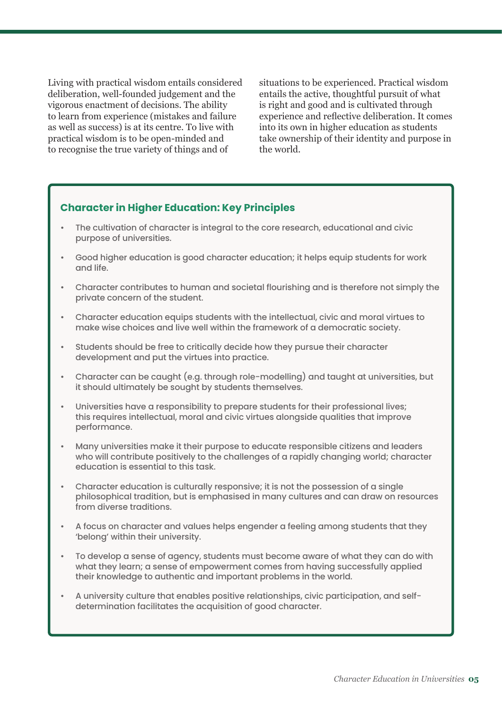Living with practical wisdom entails considered deliberation, well-founded judgement and the vigorous enactment of decisions. The ability to learn from experience (mistakes and failure as well as success) is at its centre. To live with practical wisdom is to be open-minded and to recognise the true variety of things and of

situations to be experienced. Practical wisdom entails the active, thoughtful pursuit of what is right and good and is cultivated through experience and reflective deliberation. It comes into its own in higher education as students take ownership of their identity and purpose in the world.

#### **Character in Higher Education: Key Principles**

- The cultivation of character is integral to the core research, educational and civic purpose of universities.
- Good higher education is good character education; it helps equip students for work and life.
- Character contributes to human and societal flourishing and is therefore not simply the private concern of the student.
- Character education equips students with the intellectual, civic and moral virtues to make wise choices and live well within the framework of a democratic society.
- Students should be free to critically decide how they pursue their character development and put the virtues into practice.
- Character can be caught (e.g. through role-modelling) and taught at universities, but it should ultimately be sought by students themselves.
- Universities have a responsibility to prepare students for their professional lives; this requires intellectual, moral and civic virtues alongside qualities that improve performance.
- Many universities make it their purpose to educate responsible citizens and leaders who will contribute positively to the challenges of a rapidly changing world; character education is essential to this task.
- Character education is culturally responsive; it is not the possession of a single philosophical tradition, but is emphasised in many cultures and can draw on resources from diverse traditions.
- A focus on character and values helps engender a feeling among students that they 'belong' within their university.
- To develop a sense of agency, students must become aware of what they can do with what they learn; a sense of empowerment comes from having successfully applied their knowledge to authentic and important problems in the world.
- A university culture that enables positive relationships, civic participation, and selfdetermination facilitates the acquisition of good character.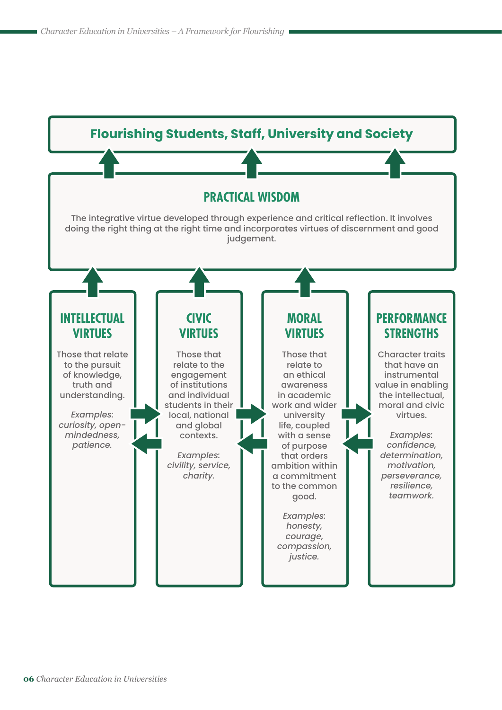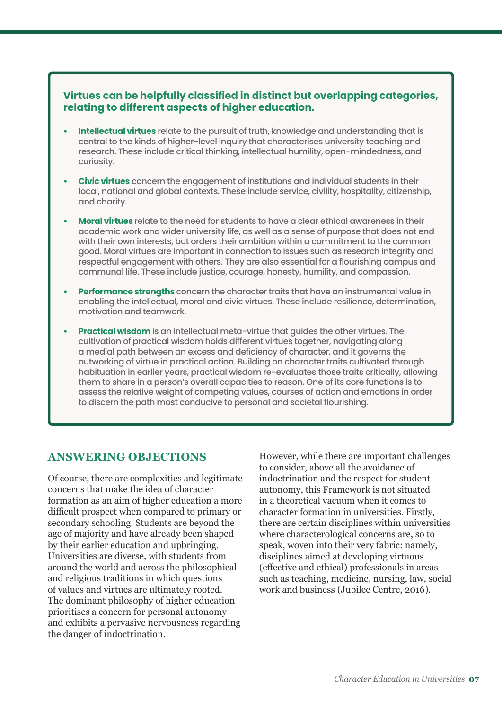#### **Virtues can be helpfully classified in distinct but overlapping categories, relating to different aspects of higher education.**

- **• Intellectual virtues** relate to the pursuit of truth, knowledge and understanding that is central to the kinds of higher-level inquiry that characterises university teaching and research. These include critical thinking, intellectual humility, open-mindedness, and curiosity.
- **• Civic virtues** concern the engagement of institutions and individual students in their local, national and global contexts. These include service, civility, hospitality, citizenship, and charity.
- **• Moral virtues** relate to the need for students to have a clear ethical awareness in their academic work and wider university life, as well as a sense of purpose that does not end with their own interests, but orders their ambition within a commitment to the common good. Moral virtues are important in connection to issues such as research integrity and respectful engagement with others. They are also essential for a flourishing campus and communal life. These include justice, courage, honesty, humility, and compassion.
- **• Performance strengths** concern the character traits that have an instrumental value in enabling the intellectual, moral and civic virtues. These include resilience, determination, motivation and teamwork.
- **• Practical wisdom** is an intellectual meta-virtue that guides the other virtues. The cultivation of practical wisdom holds different virtues together, navigating along a medial path between an excess and deficiency of character, and it governs the outworking of virtue in practical action. Building on character traits cultivated through habituation in earlier years, practical wisdom re-evaluates those traits critically, allowing them to share in a person's overall capacities to reason. One of its core functions is to assess the relative weight of competing values, courses of action and emotions in order to discern the path most conducive to personal and societal flourishing.

## **ANSWERING OBJECTIONS**

Of course, there are complexities and legitimate concerns that make the idea of character formation as an aim of higher education a more difficult prospect when compared to primary or secondary schooling. Students are beyond the age of majority and have already been shaped by their earlier education and upbringing. Universities are diverse, with students from around the world and across the philosophical and religious traditions in which questions of values and virtues are ultimately rooted. The dominant philosophy of higher education prioritises a concern for personal autonomy and exhibits a pervasive nervousness regarding the danger of indoctrination.

However, while there are important challenges to consider, above all the avoidance of indoctrination and the respect for student autonomy, this Framework is not situated in a theoretical vacuum when it comes to character formation in universities. Firstly, there are certain disciplines within universities where characterological concerns are, so to speak, woven into their very fabric: namely, disciplines aimed at developing virtuous (effective and ethical) professionals in areas such as teaching, medicine, nursing, law, social work and business (Jubilee Centre, 2016).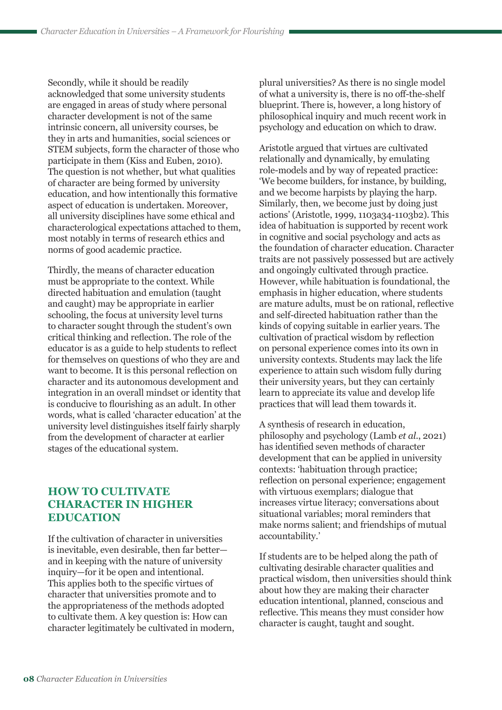Secondly, while it should be readily acknowledged that some university students are engaged in areas of study where personal character development is not of the same intrinsic concern, all university courses, be they in arts and humanities, social sciences or STEM subjects, form the character of those who participate in them (Kiss and Euben, 2010). The question is not whether, but what qualities of character are being formed by university education, and how intentionally this formative aspect of education is undertaken. Moreover, all university disciplines have some ethical and characterological expectations attached to them, most notably in terms of research ethics and norms of good academic practice.

Thirdly, the means of character education must be appropriate to the context. While directed habituation and emulation (taught and caught) may be appropriate in earlier schooling, the focus at university level turns to character sought through the student's own critical thinking and reflection. The role of the educator is as a guide to help students to reflect for themselves on questions of who they are and want to become. It is this personal reflection on character and its autonomous development and integration in an overall mindset or identity that is conducive to flourishing as an adult. In other words, what is called 'character education' at the university level distinguishes itself fairly sharply from the development of character at earlier stages of the educational system.

## **HOW TO CULTIVATE CHARACTER IN HIGHER EDUCATION**

If the cultivation of character in universities is inevitable, even desirable, then far better and in keeping with the nature of university inquiry—for it be open and intentional. This applies both to the specific virtues of character that universities promote and to the appropriateness of the methods adopted to cultivate them. A key question is: How can character legitimately be cultivated in modern, plural universities? As there is no single model of what a university is, there is no off-the-shelf blueprint. There is, however, a long history of philosophical inquiry and much recent work in psychology and education on which to draw.

Aristotle argued that virtues are cultivated relationally and dynamically, by emulating role-models and by way of repeated practice: 'We become builders, for instance, by building, and we become harpists by playing the harp. Similarly, then, we become just by doing just actions' (Aristotle, 1999, 1103a34-1103b2). This idea of habituation is supported by recent work in cognitive and social psychology and acts as the foundation of character education. Character traits are not passively possessed but are actively and ongoingly cultivated through practice. However, while habituation is foundational, the emphasis in higher education, where students are mature adults, must be on rational, reflective and self-directed habituation rather than the kinds of copying suitable in earlier years. The cultivation of practical wisdom by reflection on personal experience comes into its own in university contexts. Students may lack the life experience to attain such wisdom fully during their university years, but they can certainly learn to appreciate its value and develop life practices that will lead them towards it.

A synthesis of research in education, philosophy and psychology (Lamb *et al.*, 2021) has identified seven methods of character development that can be applied in university contexts: 'habituation through practice; reflection on personal experience; engagement with virtuous exemplars; dialogue that increases virtue literacy; conversations about situational variables; moral reminders that make norms salient; and friendships of mutual accountability.'

If students are to be helped along the path of cultivating desirable character qualities and practical wisdom, then universities should think about how they are making their character education intentional, planned, conscious and reflective. This means they must consider how character is caught, taught and sought.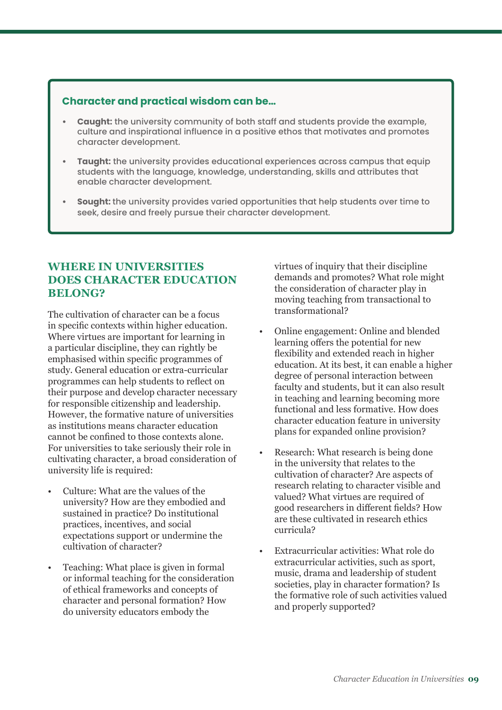#### **Character and practical wisdom can be…**

- **• Caught:** the university community of both staff and students provide the example, culture and inspirational influence in a positive ethos that motivates and promotes character development.
- **• Taught:** the university provides educational experiences across campus that equip students with the language, knowledge, understanding, skills and attributes that enable character development.
- **• Sought:** the university provides varied opportunities that help students over time to seek, desire and freely pursue their character development.

#### **WHERE IN UNIVERSITIES DOES CHARACTER EDUCATION BELONG?**

The cultivation of character can be a focus in specific contexts within higher education. Where virtues are important for learning in a particular discipline, they can rightly be emphasised within specific programmes of study. General education or extra-curricular programmes can help students to reflect on their purpose and develop character necessary for responsible citizenship and leadership. However, the formative nature of universities as institutions means character education cannot be confined to those contexts alone. For universities to take seriously their role in cultivating character, a broad consideration of university life is required:

- Culture: What are the values of the university? How are they embodied and sustained in practice? Do institutional practices, incentives, and social expectations support or undermine the cultivation of character?
- Teaching: What place is given in formal or informal teaching for the consideration of ethical frameworks and concepts of character and personal formation? How do university educators embody the

virtues of inquiry that their discipline demands and promotes? What role might the consideration of character play in moving teaching from transactional to transformational?

- Online engagement: Online and blended learning offers the potential for new flexibility and extended reach in higher education. At its best, it can enable a higher degree of personal interaction between faculty and students, but it can also result in teaching and learning becoming more functional and less formative. How does character education feature in university plans for expanded online provision?
- Research: What research is being done in the university that relates to the cultivation of character? Are aspects of research relating to character visible and valued? What virtues are required of good researchers in different fields? How are these cultivated in research ethics curricula?
- Extracurricular activities: What role do extracurricular activities, such as sport, music, drama and leadership of student societies, play in character formation? Is the formative role of such activities valued and properly supported?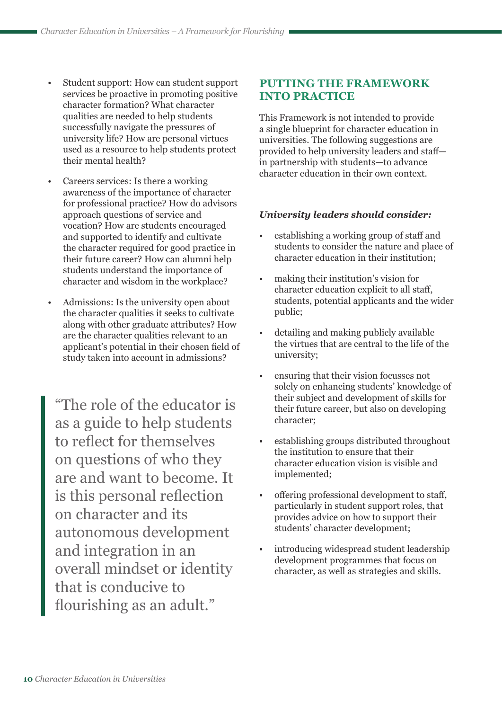- Student support: How can student support services be proactive in promoting positive character formation? What character qualities are needed to help students successfully navigate the pressures of university life? How are personal virtues used as a resource to help students protect their mental health?
- Careers services: Is there a working awareness of the importance of character for professional practice? How do advisors approach questions of service and vocation? How are students encouraged and supported to identify and cultivate the character required for good practice in their future career? How can alumni help students understand the importance of character and wisdom in the workplace?
- Admissions: Is the university open about the character qualities it seeks to cultivate along with other graduate attributes? How are the character qualities relevant to an applicant's potential in their chosen field of study taken into account in admissions?

"The role of the educator is as a guide to help students to reflect for themselves on questions of who they are and want to become. It is this personal reflection on character and its autonomous development and integration in an overall mindset or identity that is conducive to flourishing as an adult."

## **PUTTING THE FRAMEWORK INTO PRACTICE**

This Framework is not intended to provide a single blueprint for character education in universities. The following suggestions are provided to help university leaders and staff in partnership with students—to advance character education in their own context.

#### *University leaders should consider:*

- establishing a working group of staff and students to consider the nature and place of character education in their institution;
- making their institution's vision for character education explicit to all staff, students, potential applicants and the wider public;
- detailing and making publicly available the virtues that are central to the life of the university;
- ensuring that their vision focusses not solely on enhancing students' knowledge of their subject and development of skills for their future career, but also on developing character;
- establishing groups distributed throughout the institution to ensure that their character education vision is visible and implemented;
- offering professional development to staff, particularly in student support roles, that provides advice on how to support their students' character development;
- introducing widespread student leadership development programmes that focus on character, as well as strategies and skills.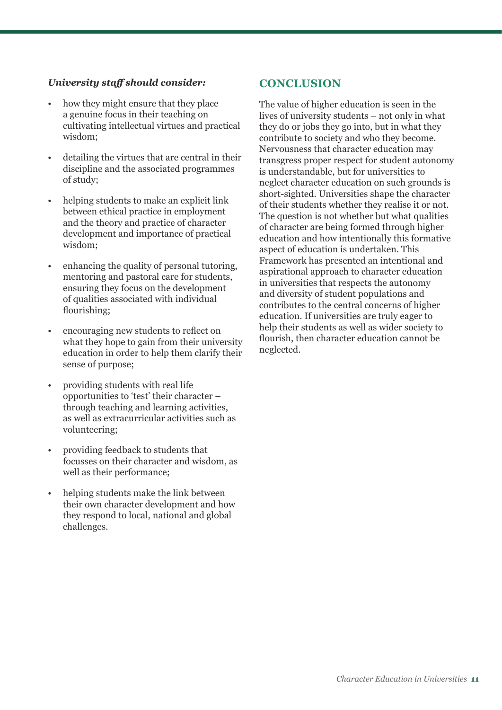#### *University staff should consider:*

- how they might ensure that they place a genuine focus in their teaching on cultivating intellectual virtues and practical wisdom;
- detailing the virtues that are central in their discipline and the associated programmes of study;
- helping students to make an explicit link between ethical practice in employment and the theory and practice of character development and importance of practical wisdom;
- enhancing the quality of personal tutoring, mentoring and pastoral care for students, ensuring they focus on the development of qualities associated with individual flourishing;
- encouraging new students to reflect on what they hope to gain from their university education in order to help them clarify their sense of purpose;
- providing students with real life opportunities to 'test' their character – through teaching and learning activities, as well as extracurricular activities such as volunteering;
- providing feedback to students that focusses on their character and wisdom, as well as their performance;
- helping students make the link between their own character development and how they respond to local, national and global challenges.

#### **CONCLUSION**

The value of higher education is seen in the lives of university students – not only in what they do or jobs they go into, but in what they contribute to society and who they become. Nervousness that character education may transgress proper respect for student autonomy is understandable, but for universities to neglect character education on such grounds is short-sighted. Universities shape the character of their students whether they realise it or not. The question is not whether but what qualities of character are being formed through higher education and how intentionally this formative aspect of education is undertaken. This Framework has presented an intentional and aspirational approach to character education in universities that respects the autonomy and diversity of student populations and contributes to the central concerns of higher education. If universities are truly eager to help their students as well as wider society to flourish, then character education cannot be neglected.